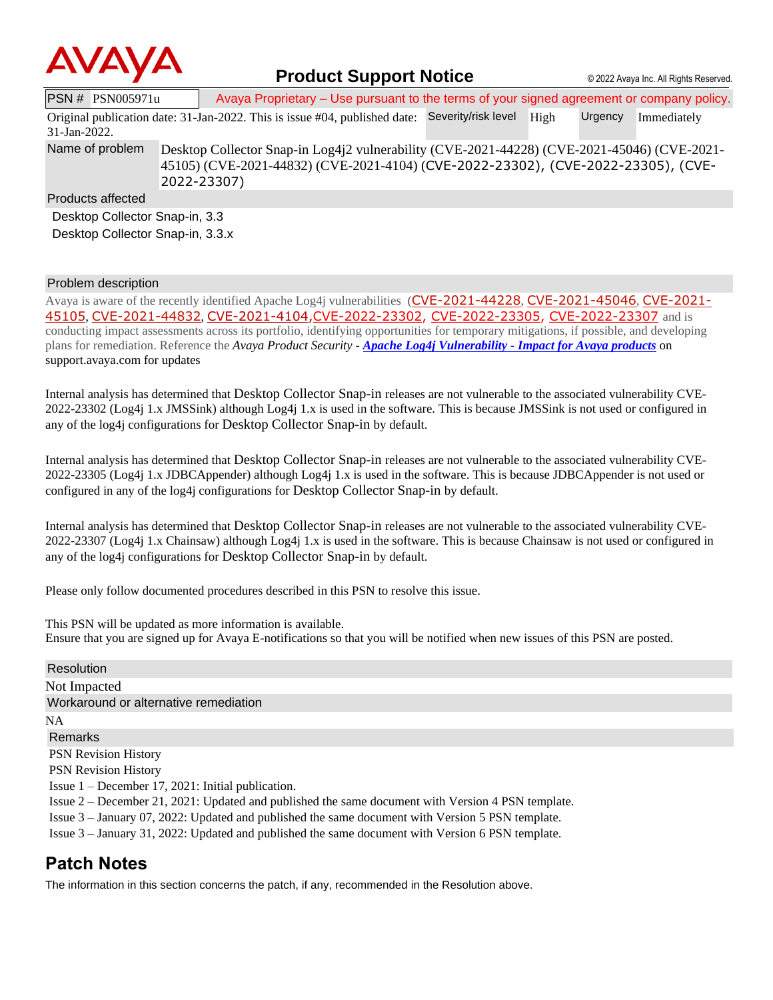

## **Product Support Notice** © 2022 Avaya Inc. All Rights Reserved.

PSN # PSN005971u Avaya Proprietary – Use pursuant to the terms of your signed agreement or company policy. Original publication date: 31-Jan-2022. This is issue #04, published date: Severity/risk level High Urgency Immediately 31-Jan-2022. Name of problem Desktop Collector Snap-in Log4j2 vulnerability (CVE-2021-44228) (CVE-2021-45046) (CVE-2021-45105) (CVE-2021-44832) (CVE-2021-4104) ([CVE-2022-23302\)](https://www.cvedetails.com/cve/CVE-2022-23302/), [\(CVE-2022-23305\)](https://www.cvedetails.com/cve/CVE-2022-23305/), [\(CVE-](https://www.cvedetails.com/cve/CVE-2022-23307/)[2022-23307\)](https://www.cvedetails.com/cve/CVE-2022-23307/) Products affected Desktop Collector Snap-in, 3.3 Desktop Collector Snap-in, 3.3.x

## Problem description

Avaya is aware of the recently identified Apache Log4j vulnerabilities ([CVE-2021-44228](https://cve.mitre.org/cgi-bin/cvename.cgi?name=CVE-2021-44228), [CVE-2021-45046](https://cve.mitre.org/cgi-bin/cvename.cgi?name=CVE-2021-45046), [CVE-2021-](https://cve.mitre.org/cgi-bin/cvename.cgi?name=CVE-2021-45105) [45105](https://cve.mitre.org/cgi-bin/cvename.cgi?name=CVE-2021-45105), [CVE-2021-44832](https://cve.mitre.org/cgi-bin/cvename.cgi?name=CVE-2021-44832), [CVE-2021-4104,](https://cve.mitre.org/cgi-bin/cvename.cgi?name=CVE-2021-4104)[CVE-2022-23302,](https://www.cvedetails.com/cve/CVE-2022-23302/) [CVE-2022-23305,](https://www.cvedetails.com/cve/CVE-2022-23305/) [CVE-2022-23307](https://www.cvedetails.com/cve/CVE-2022-23307/) and is conducting impact assessments across its portfolio, identifying opportunities for temporary mitigations, if possible, and developing plans for remediation. Reference the *Avaya Product Security - Apache Log4j Vulnerability - [Impact for Avaya products](http://www.avaya.com/emergencyupdate)* on support.avaya.com for updates

Internal analysis has determined that Desktop Collector Snap-in releases are not vulnerable to the associated vulnerability CVE-2022-23302 (Log4j 1.x JMSSink) although Log4j 1.x is used in the software. This is because JMSSink is not used or configured in any of the log4j configurations for Desktop Collector Snap-in by default.

Internal analysis has determined that Desktop Collector Snap-in releases are not vulnerable to the associated vulnerability CVE-2022-23305 (Log4j 1.x JDBCAppender) although Log4j 1.x is used in the software. This is because JDBCAppender is not used or configured in any of the log4j configurations for Desktop Collector Snap-in by default.

Internal analysis has determined that Desktop Collector Snap-in releases are not vulnerable to the associated vulnerability CVE-2022-23307 (Log4j 1.x Chainsaw) although Log4j 1.x is used in the software. This is because Chainsaw is not used or configured in any of the log4j configurations for Desktop Collector Snap-in by default.

Please only follow documented procedures described in this PSN to resolve this issue.

This PSN will be updated as more information is available. Ensure that you are signed up for Avaya E-notifications so that you will be notified when new issues of this PSN are posted.

| Resolution                                                                                         |
|----------------------------------------------------------------------------------------------------|
| Not Impacted                                                                                       |
| Workaround or alternative remediation                                                              |
| <b>NA</b>                                                                                          |
| Remarks                                                                                            |
| <b>PSN Revision History</b>                                                                        |
| <b>PSN</b> Revision History                                                                        |
| Issue $1 -$ December 17, 2021: Initial publication.                                                |
| Issue 2 – December 21, 2021: Updated and published the same document with Version 4 PSN template.  |
| Issue $3$ – January 07, 2022: Updated and published the same document with Version 5 PSN template. |
| Issue 3 – January 31, 2022: Updated and published the same document with Version 6 PSN template.   |
| <b>Patch Notes</b>                                                                                 |

The information in this section concerns the patch, if any, recommended in the Resolution above.